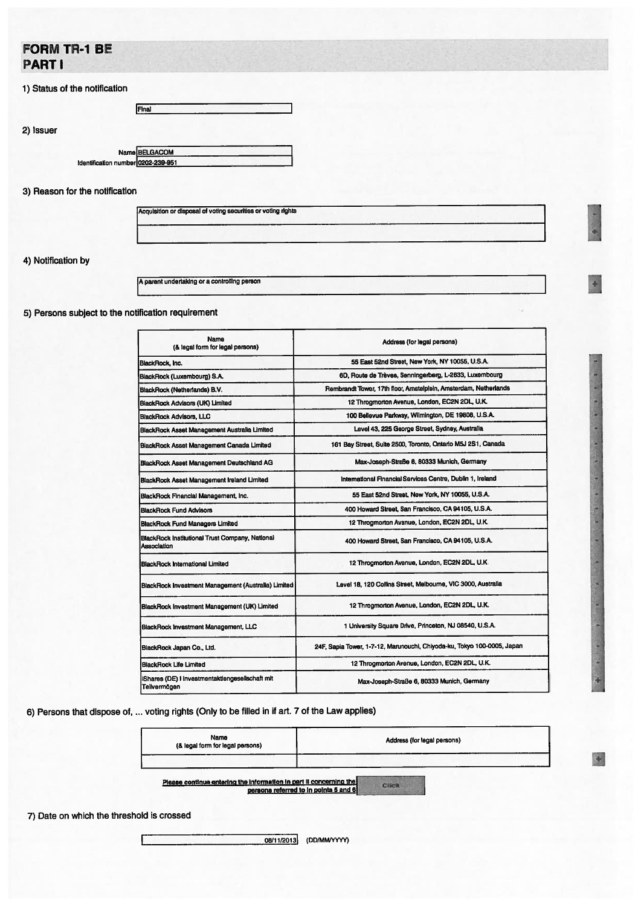## FORM TR-1 BE PART I

|  |  |  |  | 1) Status of the notification |  |
|--|--|--|--|-------------------------------|--|
|--|--|--|--|-------------------------------|--|

2) Issuer

Final

## 3) Reason for the notification

4) Notification by

A parent undertaking or a controlling person **International and the experimental and the experimental and the experimental and the experimental and the experimental and the experimental and the experimental and the experim** 

5) Persons subject to the notification requirement

| Name<br>(& legal form for legal persons)                       | Address (for legal persons)                                             |  |  |  |
|----------------------------------------------------------------|-------------------------------------------------------------------------|--|--|--|
| BlackRock, Inc.                                                | 55 East 52nd Street, New York, NY 10055, U.S.A.                         |  |  |  |
| BlackRock (Luxembourg) S.A.                                    | 6D. Route de Trèves. Senningerberg, L-2633, Luxembourg                  |  |  |  |
| BlackRock (Netherlands) B.V.                                   | Rembrandt Tower, 17th floor, Amstelplein, Amsterdam, Netherlands        |  |  |  |
| BlackRock Advisors (UK) Limited                                | 12 Throamorton Avenue, London, EC2N 2DL, U.K.                           |  |  |  |
| <b>BlackRock Advisors, LLC</b>                                 | 100 Bellevue Parkway, Wilmington, DE 19808, U.S.A.                      |  |  |  |
| BlackRock Asset Management Australia Limited                   | Level 43, 225 George Street, Sydney, Australia                          |  |  |  |
| BlackRock Asset Management Canada Limited                      | 161 Bay Street, Suite 2500, Toronto, Ontario M5J 2S1, Canada            |  |  |  |
| BlackRock Asset Management Deutschland AG                      | Max-Joseph-Straße 6, 80333 Munich, Germany                              |  |  |  |
| BlackRock Asset Management Ireland Limited                     | International Financial Services Centre, Dublin 1, Ireland              |  |  |  |
| BlackRock Financial Management, Inc.                           | 55 East 52nd Street, New York, NY 10055, U.S.A.                         |  |  |  |
| <b>BlackRock Fund Advisors</b>                                 | 400 Howard Street, San Francisco, CA 94105, U.S.A.                      |  |  |  |
| <b>BlackRock Fund Managers Limited</b>                         | 12 Throgmorton Avenue, London, EC2N 2DL, U.K.                           |  |  |  |
| BlackRock Institutional Trust Company, National<br>Association | 400 Howard Street, San Francisco, CA 94105, U.S.A.                      |  |  |  |
| <b>BlackRock International Limited</b>                         | 12 Throgmorton Avenue, London, EC2N 2DL, U.K.                           |  |  |  |
| BlackRock Investment Management (Australia) Limited            | Level 18, 120 Collins Street, Melbourne, VIC 3000, Australia            |  |  |  |
| BlackRock Investment Management (UK) Limited                   | 12 Throgmorton Avenue, London, EC2N 2DL, U.K.                           |  |  |  |
| BlackRock Investment Management, LLC                           | 1 University Square Drive, Princeton, NJ 08540, U.S.A.                  |  |  |  |
| BlackRock Japan Co., Ltd.                                      | 24F, Sapia Tower, 1-7-12, Marunouchi, Chiyoda-ku, Tokyo 100-0005, Japan |  |  |  |
| BlackRock Life Limited                                         | 12 Throgmorton Avenue, London, EC2N 2DL, U.K.                           |  |  |  |
| Shares (DE) I Investmentaktiengesellschaft mit<br>Teilvermögen | Max-Joseph-Straße 6, 80333 Munich, Germany                              |  |  |  |

6) Persons that dispose of, ... voting rights (Only to be filled in if art. <sup>7</sup> of the Law applies)

| Name<br>(& legal form for legal persons) | Address (for legal persons) |
|------------------------------------------|-----------------------------|
|                                          |                             |

in the company of the company of the company of

ş

Please continue entering the information in part II concerning the **Click**<br>persons referred to in points 5 and 6

7) Date on which the threshold is crossed

08/11/2013 (DD/MM/YYYY)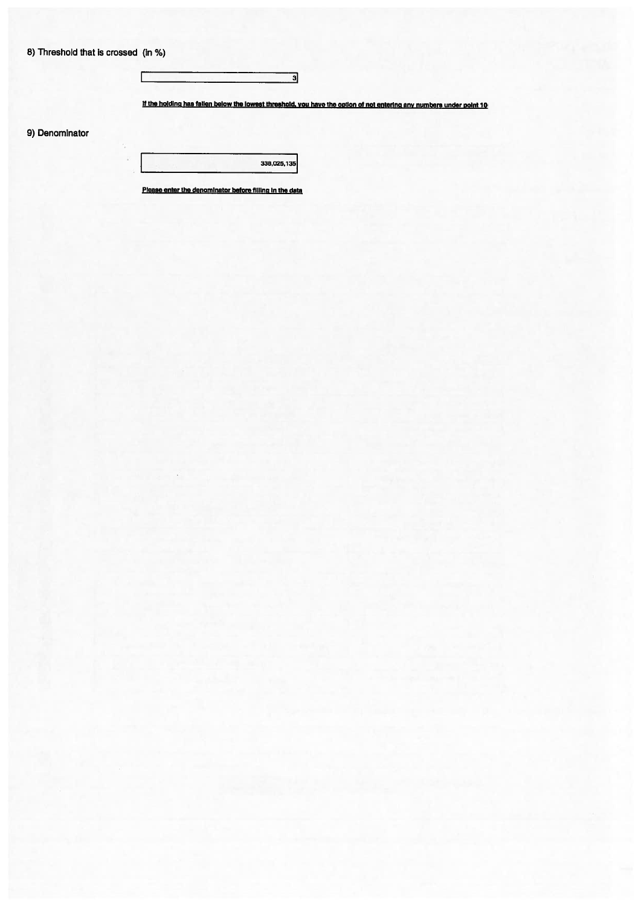|  | 8) Threshold that is crossed (in %) |  |  |  |  |  |  |
|--|-------------------------------------|--|--|--|--|--|--|
|--|-------------------------------------|--|--|--|--|--|--|

 $\Gamma$ 

÷,

If the holding has fallen below the lowest threshold, you have the option of not entering any numbers under point 10

 $\overline{\mathbf{a}}$ 

9) Denominator

338,025,135

Please enter the denominator before filling in the data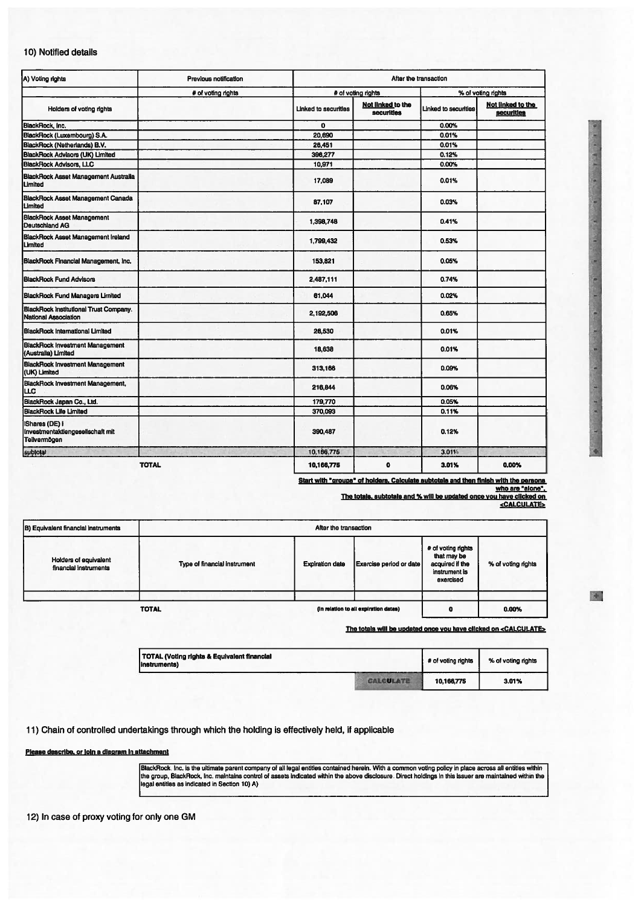## 10) Notified details

| A) Voting rights                                                             | Previous notification |                             | After the transaction           |                      |                                 |  |  |
|------------------------------------------------------------------------------|-----------------------|-----------------------------|---------------------------------|----------------------|---------------------------------|--|--|
|                                                                              | # of voting rights    |                             | # of voting rights              | % of voting rights   |                                 |  |  |
| Holders of voting rights                                                     |                       | <b>Linked to securities</b> | Not linked to the<br>securities | Linked to securities | Not linked to the<br>securities |  |  |
| BlackRock, Inc.                                                              |                       | $\mathbf{o}$                |                                 | 0.00%                |                                 |  |  |
| BlackRock (Luxembourg) S.A.                                                  |                       | 20.690                      |                                 | 0.01%                |                                 |  |  |
| BlackRock (Netherlands) B.V.                                                 |                       | 26,451                      |                                 | 0.01%                |                                 |  |  |
| BlackRock Advisors (UK) Limited<br>BlackRock Advisors, LLC                   |                       | 396,277                     |                                 | 0.12%                |                                 |  |  |
|                                                                              |                       | 10,971                      |                                 | 0.00%                |                                 |  |  |
| BlackRock Asset Management Australia<br>Limited                              |                       | 17,089                      |                                 | 0.01%                |                                 |  |  |
| <b>BlackRock Asset Management Canada</b><br>Limited                          |                       | 87,107                      |                                 | 0.03%                |                                 |  |  |
| <b>BlackRock Asset Management</b><br>Deutschland AG                          |                       | 1,398,748                   |                                 | 0.41%                |                                 |  |  |
| <b>BlackRock Asset Management Ireland</b><br>Limited                         |                       | 1,799,432                   |                                 | 0.53%                |                                 |  |  |
| BlackRock Financial Management, Inc.                                         |                       | 153,821                     |                                 | 0.05%                |                                 |  |  |
| <b>BlackRock Fund Advisors</b>                                               |                       | 2.487.111                   |                                 | 0.74%                |                                 |  |  |
| <b>BlackRock Fund Managers Limited</b>                                       |                       | 61,044                      |                                 | 0.02%                |                                 |  |  |
| <b>BlackRock Institutional Trust Company.</b><br><b>National Association</b> |                       | 2,192,506                   |                                 | 0.65%                |                                 |  |  |
| <b>BlackRock International Limited</b>                                       |                       | 26,530                      |                                 | 0.01%                |                                 |  |  |
| <b>BlackRock Investment Management</b><br>(Australia) Limited                |                       | 18,638                      |                                 | 0.01%                |                                 |  |  |
| <b>BlackRock Investment Management</b><br>(UK) Limited                       |                       | 313,166                     |                                 | 0.09%                |                                 |  |  |
| BlackRock Investment Management,<br>ПC                                       |                       | 216,844                     |                                 | 0.06%                |                                 |  |  |
| BlackRock Japan Co., Ltd.                                                    |                       | 179,770                     |                                 | 0.05%                |                                 |  |  |
| <b>BlackRock Life Limited</b>                                                |                       | 370,093                     |                                 | 0.11%                |                                 |  |  |
| IShares (DE) I<br>Investmentaktlengesellschaft mit<br>Teilvermögen           |                       | 390,487                     |                                 | 0.12%                |                                 |  |  |
| subtotal                                                                     |                       | 10.166,775                  |                                 | 3.01%                |                                 |  |  |
| <b>TOTAL</b>                                                                 |                       | 10,166,775                  | $\mathbf o$                     | 3.01%                | 0.00%                           |  |  |

Start with "groups" of holders. Calculate subtotals and then finish with the persons<br>who are "alone".<br>The totals, subtotals and % will be updated once you have clicked on

<CALCULATE>

| B) Equivalent financial instruments            | After the transaction        |                        |                                       |                                                                                    |                    |  |  |
|------------------------------------------------|------------------------------|------------------------|---------------------------------------|------------------------------------------------------------------------------------|--------------------|--|--|
| Holders of equivalent<br>financial instruments | Type of financial instrument | <b>Expiration date</b> | Exercise period or date               | # of voting rights<br>that may be<br>acquired if the<br>instrument is<br>exercised | % of voting rights |  |  |
|                                                | <b>TOTAL</b>                 |                        | (in relation to all expiration dates) | o                                                                                  | 0.00%              |  |  |

The totals will be updated once you have clicked on <CALCULATE>

| TOTAL (Voting rights & Equivalent financial<br>(instruments) |         | # of voting rights | % of voting rights |  |
|--------------------------------------------------------------|---------|--------------------|--------------------|--|
|                                                              | CALCULA | 10,166,775         | 3.01%              |  |

11) Chain of controlled undertakings through which the holding is effectively held, if applicable

Please describe, or join a diagram in attachment

BlackRock. Inc. is the ultimate parent company of all legal entities contained herein. With a common voting policy in place across all entities within<br>the group. BlackRock, Inc. maintains control of assets indicated within

12) In case of proxy voting for only one GM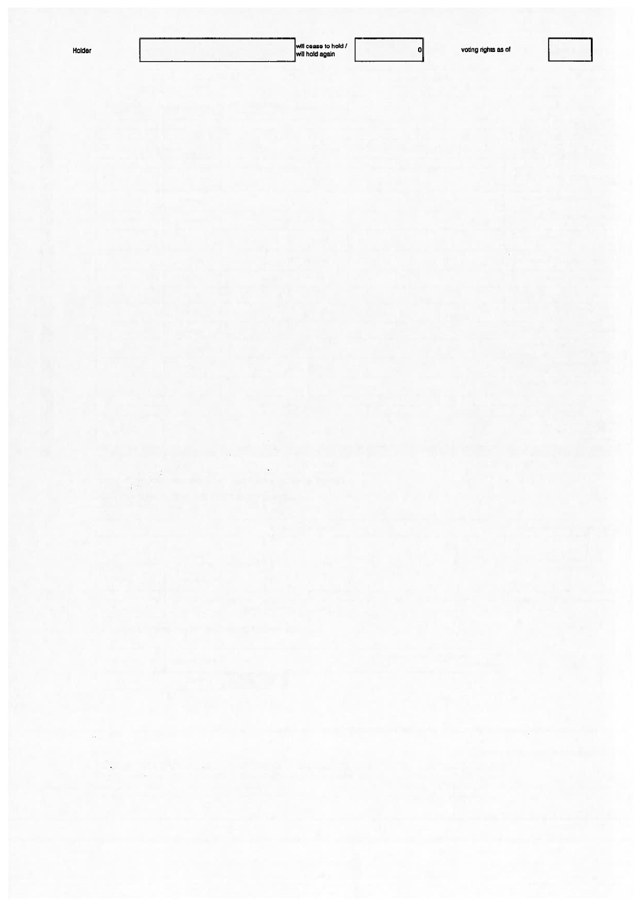| łold |  |
|------|--|
| e    |  |
|      |  |

 $\ddot{\phantom{a}}$ 

 $\hat{\mathcal{Z}}$ 

 $\mathcal{P}^{(0)}$ 

 $\frac{1}{2}$  . The  $\frac{1}{2}$ 

will cease to hold / **Holder 0** voting rights as of will hold again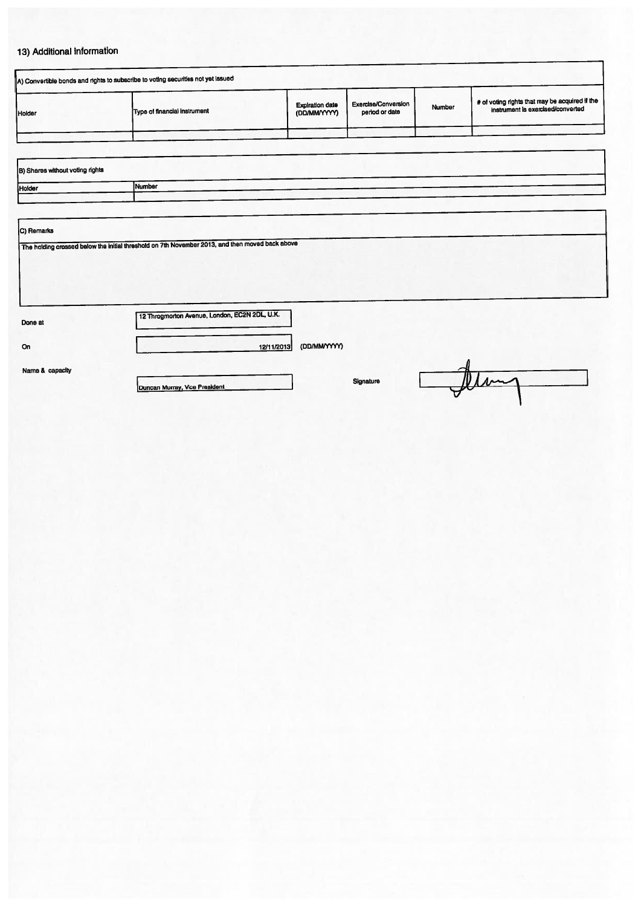## 13) Additional information

| A) Convertible bonds and rights to subscribe to voting securities not yet issued                |                                                                                     |  |  |  |  |  |  |  |
|-------------------------------------------------------------------------------------------------|-------------------------------------------------------------------------------------|--|--|--|--|--|--|--|
| Holder                                                                                          | # of voting rights that may be acquired if the<br>instrument is exercised/converted |  |  |  |  |  |  |  |
|                                                                                                 |                                                                                     |  |  |  |  |  |  |  |
|                                                                                                 |                                                                                     |  |  |  |  |  |  |  |
| B) Shares without voting rights                                                                 |                                                                                     |  |  |  |  |  |  |  |
| Holder                                                                                          | Number                                                                              |  |  |  |  |  |  |  |
|                                                                                                 |                                                                                     |  |  |  |  |  |  |  |
|                                                                                                 |                                                                                     |  |  |  |  |  |  |  |
| C) Remarks                                                                                      |                                                                                     |  |  |  |  |  |  |  |
| The holding crossed below the initial threshold on 7th November 2013, and then moved back above |                                                                                     |  |  |  |  |  |  |  |

12/11/2013 (DD/MM(YYYY)

Done at

On Little and Little and Little and Little

Name & capacity

12 Throgmorton Avenue, London, EC2N 2DL, U.K.

Duncan Murray, Vice President Signature Signature